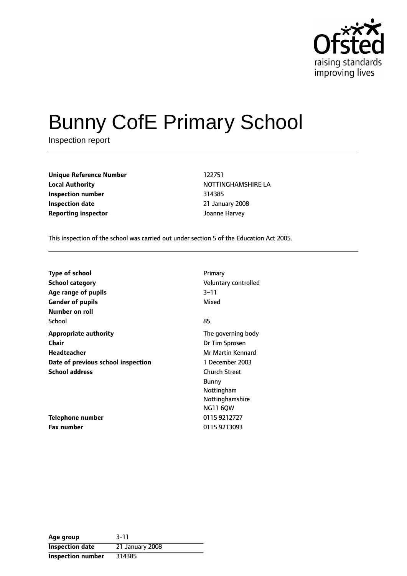

# Bunny CofE Primary School

Inspection report

**Unique Reference Number** 122751 **Local Authority NOTTINGHAMSHIRE LA Inspection number** 314385 **Inspection date** 21 January 2008 **Reporting inspector** Joanne Harvey

This inspection of the school was carried out under section 5 of the Education Act 2005.

| <b>Type of school</b><br>School category                         | Primary<br>Voluntary controlled<br>$3 - 11$      |
|------------------------------------------------------------------|--------------------------------------------------|
| Age range of pupils<br><b>Gender of pupils</b><br>Number on roll | Mixed                                            |
| School<br><b>Appropriate authority</b>                           | 85<br>The governing body                         |
| Chair<br>Headteacher                                             | Dr Tim Sprosen<br>Mr Martin Kennard              |
| Date of previous school inspection<br><b>School address</b>      | 1 December 2003<br><b>Church Street</b><br>Bunny |
|                                                                  | Nottingham<br>Nottinghamshire<br><b>NG11 60W</b> |
| <b>Telephone number</b>                                          | 0115 9212727                                     |
| <b>Fax number</b>                                                | 0115 9213093                                     |

| Age group                | $3 - 11$        |
|--------------------------|-----------------|
| <b>Inspection date</b>   | 21 January 2008 |
| <b>Inspection number</b> | 314385          |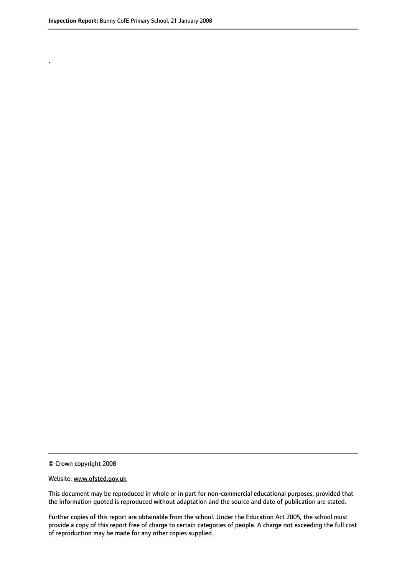.

© Crown copyright 2008

#### Website: www.ofsted.gov.uk

This document may be reproduced in whole or in part for non-commercial educational purposes, provided that the information quoted is reproduced without adaptation and the source and date of publication are stated.

Further copies of this report are obtainable from the school. Under the Education Act 2005, the school must provide a copy of this report free of charge to certain categories of people. A charge not exceeding the full cost of reproduction may be made for any other copies supplied.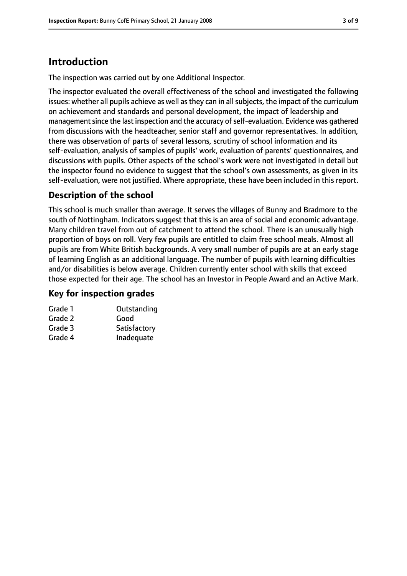# **Introduction**

The inspection was carried out by one Additional Inspector.

The inspector evaluated the overall effectiveness of the school and investigated the following issues: whether all pupils achieve as well as they can in all subjects, the impact of the curriculum on achievement and standards and personal development, the impact of leadership and management since the last inspection and the accuracy of self-evaluation. Evidence was gathered from discussions with the headteacher, senior staff and governor representatives. In addition, there was observation of parts of several lessons, scrutiny of school information and its self-evaluation, analysis of samples of pupils' work, evaluation of parents' questionnaires, and discussions with pupils. Other aspects of the school's work were not investigated in detail but the inspector found no evidence to suggest that the school's own assessments, as given in its self-evaluation, were not justified. Where appropriate, these have been included in this report.

#### **Description of the school**

This school is much smaller than average. It serves the villages of Bunny and Bradmore to the south of Nottingham. Indicators suggest that this is an area of social and economic advantage. Many children travel from out of catchment to attend the school. There is an unusually high proportion of boys on roll. Very few pupils are entitled to claim free school meals. Almost all pupils are from White British backgrounds. A very small number of pupils are at an early stage of learning English as an additional language. The number of pupils with learning difficulties and/or disabilities is below average. Children currently enter school with skills that exceed those expected for their age. The school has an Investor in People Award and an Active Mark.

#### **Key for inspection grades**

| Grade 1 | Outstanding  |
|---------|--------------|
| Grade 2 | Good         |
| Grade 3 | Satisfactory |
| Grade 4 | Inadequate   |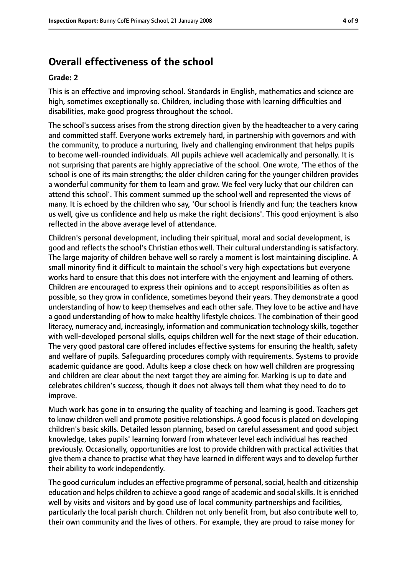## **Overall effectiveness of the school**

#### **Grade: 2**

This is an effective and improving school. Standards in English, mathematics and science are high, sometimes exceptionally so. Children, including those with learning difficulties and disabilities, make good progress throughout the school.

The school's success arises from the strong direction given by the headteacher to a very caring and committed staff. Everyone works extremely hard, in partnership with governors and with the community, to produce a nurturing, lively and challenging environment that helps pupils to become well-rounded individuals. All pupils achieve well academically and personally. It is not surprising that parents are highly appreciative of the school. One wrote, 'The ethos of the school is one of its main strengths; the older children caring for the younger children provides a wonderful community for them to learn and grow. We feel very lucky that our children can attend this school'. This comment summed up the school well and represented the views of many. It is echoed by the children who say, 'Our school is friendly and fun; the teachers know us well, give us confidence and help us make the right decisions'. This good enjoyment is also reflected in the above average level of attendance.

Children's personal development, including their spiritual, moral and social development, is good and reflects the school's Christian ethos well. Their cultural understanding is satisfactory. The large majority of children behave well so rarely a moment is lost maintaining discipline. A small minority find it difficult to maintain the school's very high expectations but everyone works hard to ensure that this does not interfere with the enjoyment and learning of others. Children are encouraged to express their opinions and to accept responsibilities as often as possible, so they grow in confidence, sometimes beyond their years. They demonstrate a good understanding of how to keep themselves and each other safe. They love to be active and have a good understanding of how to make healthy lifestyle choices. The combination of their good literacy, numeracy and, increasingly, information and communication technology skills, together with well-developed personal skills, equips children well for the next stage of their education. The very good pastoral care offered includes effective systems for ensuring the health, safety and welfare of pupils. Safeguarding procedures comply with requirements. Systems to provide academic guidance are good. Adults keep a close check on how well children are progressing and children are clear about the next target they are aiming for. Marking is up to date and celebrates children's success, though it does not always tell them what they need to do to improve.

Much work has gone in to ensuring the quality of teaching and learning is good. Teachers get to know children well and promote positive relationships. A good focus is placed on developing children's basic skills. Detailed lesson planning, based on careful assessment and good subject knowledge, takes pupils' learning forward from whatever level each individual has reached previously. Occasionally, opportunities are lost to provide children with practical activities that give them a chance to practise what they have learned in different ways and to develop further their ability to work independently.

The good curriculum includes an effective programme of personal, social, health and citizenship education and helps children to achieve a good range of academic and social skills. It is enriched well by visits and visitors and by good use of local community partnerships and facilities, particularly the local parish church. Children not only benefit from, but also contribute well to, their own community and the lives of others. For example, they are proud to raise money for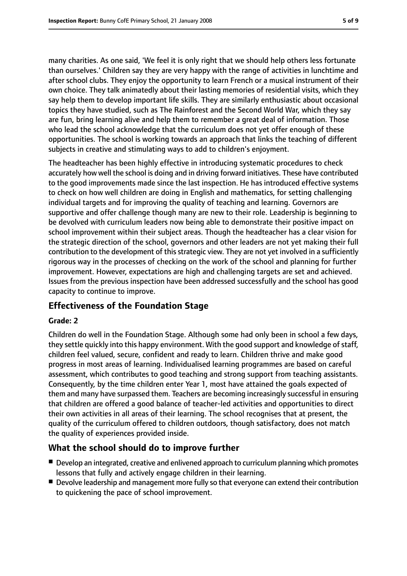many charities. As one said, 'We feel it is only right that we should help others less fortunate than ourselves.' Children say they are very happy with the range of activities in lunchtime and after school clubs. They enjoy the opportunity to learn French or a musical instrument of their own choice. They talk animatedly about their lasting memories of residential visits, which they say help them to develop important life skills. They are similarly enthusiastic about occasional topics they have studied, such as The Rainforest and the Second World War, which they say are fun, bring learning alive and help them to remember a great deal of information. Those who lead the school acknowledge that the curriculum does not yet offer enough of these opportunities. The school is working towards an approach that links the teaching of different subjects in creative and stimulating ways to add to children's enjoyment.

The headteacher has been highly effective in introducing systematic procedures to check accurately how well the school is doing and in driving forward initiatives. These have contributed to the good improvements made since the last inspection. He has introduced effective systems to check on how well children are doing in English and mathematics, for setting challenging individual targets and for improving the quality of teaching and learning. Governors are supportive and offer challenge though many are new to their role. Leadership is beginning to be devolved with curriculum leaders now being able to demonstrate their positive impact on school improvement within their subject areas. Though the headteacher has a clear vision for the strategic direction of the school, governors and other leaders are not yet making their full contribution to the development of this strategic view. They are not yet involved in a sufficiently rigorous way in the processes of checking on the work of the school and planning for further improvement. However, expectations are high and challenging targets are set and achieved. Issues from the previous inspection have been addressed successfully and the school has good capacity to continue to improve.

#### **Effectiveness of the Foundation Stage**

#### **Grade: 2**

Children do well in the Foundation Stage. Although some had only been in school a few days, they settle quickly into this happy environment. With the good support and knowledge of staff, children feel valued, secure, confident and ready to learn. Children thrive and make good progress in most areas of learning. Individualised learning programmes are based on careful assessment, which contributes to good teaching and strong support from teaching assistants. Consequently, by the time children enter Year 1, most have attained the goals expected of them and many have surpassed them. Teachers are becoming increasingly successful in ensuring that children are offered a good balance of teacher-led activities and opportunities to direct their own activities in all areas of their learning. The school recognises that at present, the quality of the curriculum offered to children outdoors, though satisfactory, does not match the quality of experiences provided inside.

#### **What the school should do to improve further**

- Develop an integrated, creative and enlivened approach to curriculum planning which promotes lessons that fully and actively engage children in their learning.
- Devolve leadership and management more fully so that everyone can extend their contribution to quickening the pace of school improvement.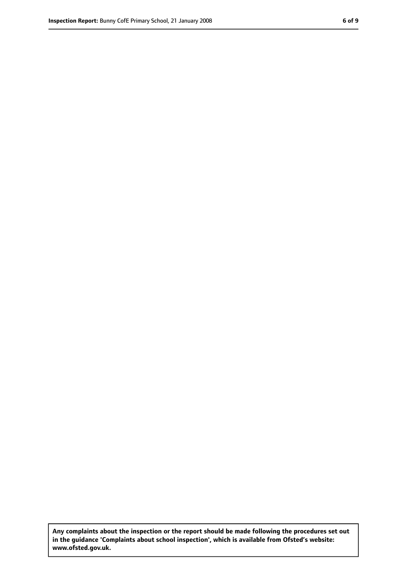**Any complaints about the inspection or the report should be made following the procedures set out in the guidance 'Complaints about school inspection', which is available from Ofsted's website: www.ofsted.gov.uk.**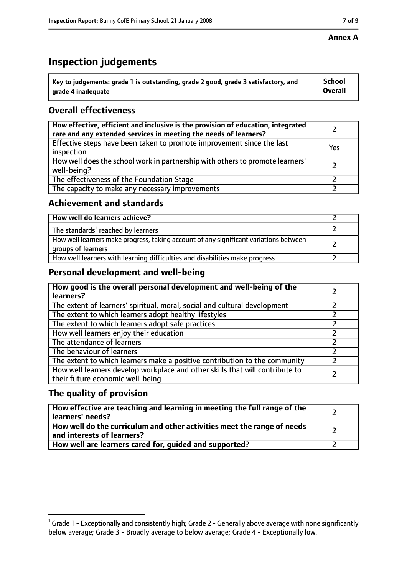#### **Annex A**

# **Inspection judgements**

| Key to judgements: grade 1 is outstanding, grade 2 good, grade 3 satisfactory, and | <b>School</b>  |
|------------------------------------------------------------------------------------|----------------|
| grade 4 inadequate                                                                 | <b>Overall</b> |

#### **Overall effectiveness**

| How effective, efficient and inclusive is the provision of education, integrated<br>care and any extended services in meeting the needs of learners? |     |
|------------------------------------------------------------------------------------------------------------------------------------------------------|-----|
| Effective steps have been taken to promote improvement since the last<br>inspection                                                                  | Yes |
| How well does the school work in partnership with others to promote learners'<br>well-being?                                                         |     |
| The effectiveness of the Foundation Stage                                                                                                            |     |
| The capacity to make any necessary improvements                                                                                                      |     |

#### **Achievement and standards**

| How well do learners achieve?                                                                               |  |
|-------------------------------------------------------------------------------------------------------------|--|
| The standards <sup>1</sup> reached by learners                                                              |  |
| How well learners make progress, taking account of any significant variations between<br>groups of learners |  |
| How well learners with learning difficulties and disabilities make progress                                 |  |

#### **Personal development and well-being**

| How good is the overall personal development and well-being of the<br>learners?                                  |  |
|------------------------------------------------------------------------------------------------------------------|--|
| The extent of learners' spiritual, moral, social and cultural development                                        |  |
| The extent to which learners adopt healthy lifestyles                                                            |  |
| The extent to which learners adopt safe practices                                                                |  |
| How well learners enjoy their education                                                                          |  |
| The attendance of learners                                                                                       |  |
| The behaviour of learners                                                                                        |  |
| The extent to which learners make a positive contribution to the community                                       |  |
| How well learners develop workplace and other skills that will contribute to<br>their future economic well-being |  |

#### **The quality of provision**

| How effective are teaching and learning in meeting the full range of the<br>learners' needs?          |  |
|-------------------------------------------------------------------------------------------------------|--|
| How well do the curriculum and other activities meet the range of needs<br>and interests of learners? |  |
| How well are learners cared for, guided and supported?                                                |  |

 $^1$  Grade 1 - Exceptionally and consistently high; Grade 2 - Generally above average with none significantly below average; Grade 3 - Broadly average to below average; Grade 4 - Exceptionally low.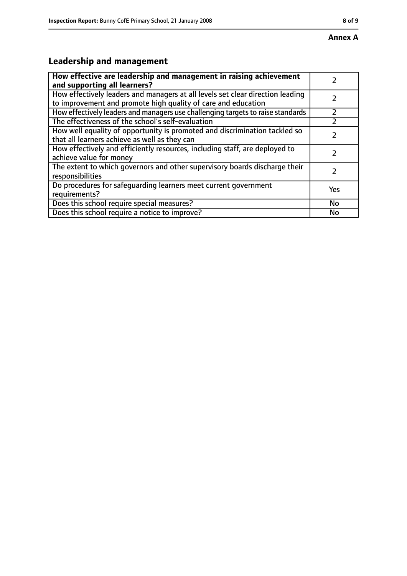# **Leadership and management**

| How effective are leadership and management in raising achievement<br>and supporting all learners?                                              |     |
|-------------------------------------------------------------------------------------------------------------------------------------------------|-----|
| How effectively leaders and managers at all levels set clear direction leading<br>to improvement and promote high quality of care and education |     |
| How effectively leaders and managers use challenging targets to raise standards                                                                 |     |
| The effectiveness of the school's self-evaluation                                                                                               |     |
| How well equality of opportunity is promoted and discrimination tackled so<br>that all learners achieve as well as they can                     |     |
| How effectively and efficiently resources, including staff, are deployed to<br>achieve value for money                                          |     |
| The extent to which governors and other supervisory boards discharge their<br>responsibilities                                                  |     |
| Do procedures for safequarding learners meet current government<br>requirements?                                                                | Yes |
| Does this school require special measures?                                                                                                      | No  |
| Does this school require a notice to improve?                                                                                                   | No  |

**Annex A**